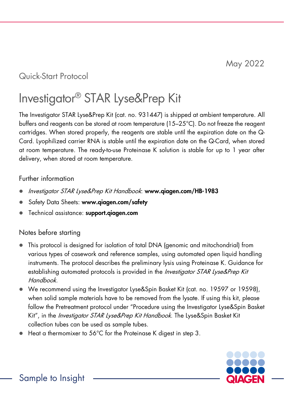## Quick-Start Protocol

# Investigator® STAR Lyse&Prep Kit

The Investigator STAR Lyse&Prep Kit (cat. no. 931447) is shipped at ambient temperature. All buffers and reagents can be stored at room temperature (15–25°C). Do not freeze the reagent cartridges. When stored properly, the reagents are stable until the expiration date on the Q-Card. Lyophilized carrier RNA is stable until the expiration date on the Q-Card, when stored at room temperature. The ready-to-use Proteinase K solution is stable for up to 1 year after delivery, when stored at room temperature.

#### Further information

- Investigator STAR Lyse&Prep Kit Handbook: www.qiagen.com/HB-1983
- Safety Data Sheets: www.aiaaen.com/safety
- Technical assistance: support.aiagen.com

#### Notes before starting

- This protocol is designed for isolation of total DNA (genomic and mitochondrial) from various types of casework and reference samples, using automated open liquid handling instruments. The protocol describes the preliminary lysis using Proteinase K. Guidance for establishing automated protocols is provided in the *Investigator STAR Lyse&Prep Kit* Handbook.
- We recommend using the Investigator Lyse&Spin Basket Kit (cat. no. 19597 or 19598), when solid sample materials have to be removed from the lysate. If using this kit, please follow the Pretreatment protocol under "Procedure using the Investigator Lyse&Spin Basket Kit", in the *Investigator STAR Lyse&Prep Kit Handbook*. The Lyse&Spin Basket Kit collection tubes can be used as sample tubes.
- Heat a thermomixer to 56°C for the Proteinase K digest in step 3.

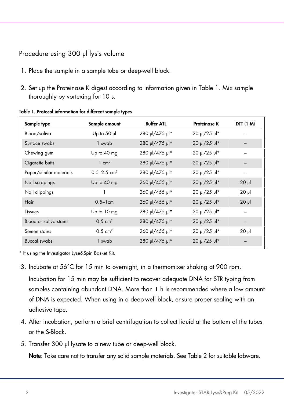### Procedure using 300 µl lysis volume

- 1. Place the sample in a sample tube or deep-well block.
- 2. Set up the Proteinase K digest according to information given in [Table 1.](#page-1-0) Mix sample thoroughly by vortexing for 10 s.

| Sample type             | Sample amount               | <b>Buffer ATL</b> | <b>Proteinase K</b> | DTT (1 M)  |
|-------------------------|-----------------------------|-------------------|---------------------|------------|
| Blood/saliva            | Up to $50$ $\mu$            | 280 µl/475 µl*    | 20 µl/25 µl*        |            |
| Surface swabs           | 1 swab                      | 280 µl/475 µl*    | 20 µl/25 µl*        |            |
| Chewing gum             | Up to 40 mg                 | 280 µl/475 µl*    | 20 µl/25 µl*        |            |
| Cigarette butts         | $1 \text{ cm}^2$            | 280 µl/475 µl*    | 20 µl/25 µl*        |            |
| Paper/similar materials | $0.5 - 2.5$ cm <sup>2</sup> | 280 µl/475 µl*    | 20 µl/25 µl*        |            |
| Nail scrapings          | Up to $40$ mg               | 260 µl/455 µl*    | 20 µl/25 µl*        | $20$ $\mu$ |
| Nail clippings          |                             | 260 µl/455 µl*    | 20 µl/25 µl*        | $20$ $\mu$ |
| Hair                    | $0.5 - 1$ cm                | 260 µl/455 µl*    | 20 µl/25 µl*        | $20$ $\mu$ |
| Tissues                 | Up to 10 mg                 | 280 µl/475 µl*    | 20 µl/25 µl*        |            |
| Blood or saliva stains  | $0.5 \text{ cm}^2$          | 280 µl/475 µl*    | 20 µl/25 µl*        |            |
| Semen stains            | $0.5 \text{ cm}^2$          | 260 µl/455 µl*    | 20 µl/25 µl*        | $20$ $\mu$ |
| <b>Buccal swabs</b>     | 1 swab                      | 280 µl/475 µl*    | 20 µl/25 µl*        |            |

<span id="page-1-0"></span>Table 1. Protocol information for different sample types

\* If using the Investigator Lyse&Spin Basket Kit.

3. Incubate at 56°C for 15 min to overnight, in a thermomixer shaking at 900 rpm.

Incubation for 15 min may be sufficient to recover adequate DNA for STR typing from samples containing abundant DNA. More than 1 h is recommended where a low amount of DNA is expected. When using in a deep-well block, ensure proper sealing with an adhesive tape.

- 4. After incubation, perform a brief centrifugation to collect liquid at the bottom of the tubes or the S-Block.
- 5. Transfer 300 µl lysate to a new tube or deep-well block.

Note: Take care not to transfer any solid sample materials. See [Table 2](#page-2-0) for suitable labware.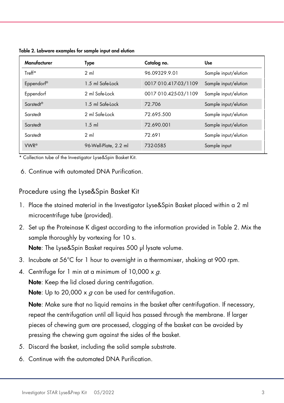<span id="page-2-0"></span>Table 2. Labware examples for sample input and elution

| Manufacturer     | Type                  | Catalog no.          | <b>Use</b>           |
|------------------|-----------------------|----------------------|----------------------|
| $Treff*$         | $2 \text{ ml}$        | 96.09329.9.01        | Sample input/elution |
| Eppendorf®       | 1.5 ml Safe-Lock      | 0017 010.417-03/1109 | Sample input/elution |
| Eppendorf        | 2 ml Safe-Lock        | 0017 010.425-03/1109 | Sample input/elution |
| Sarstedt®        | 1.5 ml Safe-Lock      | 72.706               | Sample input/elution |
| Sarstedt         | 2 ml Safe-Lock        | 72.695.500           | Sample input/elution |
| Sarstedt         | $1.5$ ml              | 72.690.001           | Sample input/elution |
| Sarstedt         | $2 \text{ ml}$        | 72.691               | Sample input/elution |
| VWR <sup>®</sup> | 96-Well-Plate, 2.2 ml | 732-0585             | Sample input         |

\* Collection tube of the Investigator Lyse&Spin Basket Kit.

6. Continue with automated DNA Purification.

Procedure using the Lyse&Spin Basket Kit

- 1. Place the stained material in the Investigator Lyse&Spin Basket placed within a 2 ml microcentrifuge tube (provided).
- 2. Set up the Proteinase K digest according to the information provided in [Table 2.](#page-2-0) Mix the sample thoroughly by vortexing for 10 s.

Note: The Lyse&Spin Basket requires 500 µl lysate volume.

- 3. Incubate at 56°C for 1 hour to overnight in a thermomixer, shaking at 900 rpm.
- 4. Centrifuge for 1 min at a minimum of  $10,000 \times g$ . Note: Keep the lid closed during centrifugation.

**Note:** Up to 20,000 x  $q$  can be used for centrifugation.

Note: Make sure that no liquid remains in the basket after centrifugation. If necessary, repeat the centrifugation until all liquid has passed through the membrane. If larger pieces of chewing gum are processed, clogging of the basket can be avoided by pressing the chewing gum against the sides of the basket.

- 5. Discard the basket, including the solid sample substrate.
- 6. Continue with the automated DNA Purification.